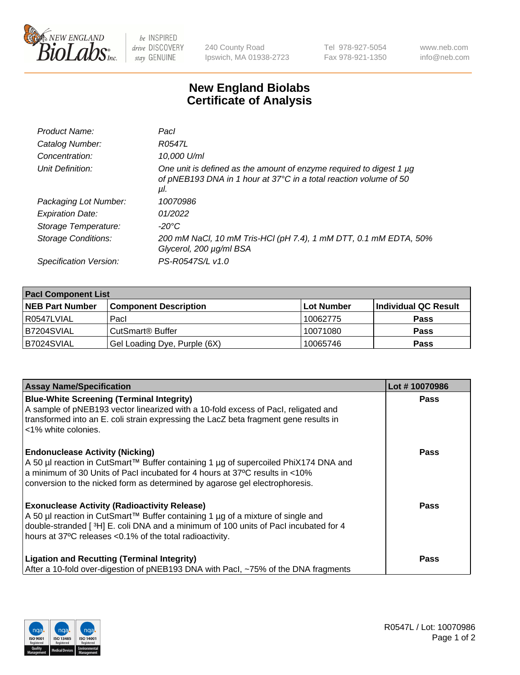

 $be$  INSPIRED drive DISCOVERY stay GENUINE

240 County Road Ipswich, MA 01938-2723 Tel 978-927-5054 Fax 978-921-1350 www.neb.com info@neb.com

## **New England Biolabs Certificate of Analysis**

| Product Name:           | Pacl                                                                                                                                            |
|-------------------------|-------------------------------------------------------------------------------------------------------------------------------------------------|
| Catalog Number:         | R0547L                                                                                                                                          |
| Concentration:          | 10,000 U/ml                                                                                                                                     |
| Unit Definition:        | One unit is defined as the amount of enzyme required to digest 1 µg<br>of pNEB193 DNA in 1 hour at 37°C in a total reaction volume of 50<br>μI. |
| Packaging Lot Number:   | 10070986                                                                                                                                        |
| <b>Expiration Date:</b> | 01/2022                                                                                                                                         |
| Storage Temperature:    | $-20^{\circ}$ C                                                                                                                                 |
| Storage Conditions:     | 200 mM NaCl, 10 mM Tris-HCl (pH 7.4), 1 mM DTT, 0.1 mM EDTA, 50%<br>Glycerol, 200 µg/ml BSA                                                     |
| Specification Version:  | PS-R0547S/L v1.0                                                                                                                                |

| <b>Pacl Component List</b> |                              |             |                      |  |  |
|----------------------------|------------------------------|-------------|----------------------|--|--|
| <b>NEB Part Number</b>     | <b>Component Description</b> | ∣Lot Number | Individual QC Result |  |  |
| R0547LVIAL                 | Pacl                         | 10062775    | <b>Pass</b>          |  |  |
| B7204SVIAL                 | CutSmart <sup>®</sup> Buffer | 10071080    | <b>Pass</b>          |  |  |
| B7024SVIAL                 | Gel Loading Dye, Purple (6X) | 10065746    | <b>Pass</b>          |  |  |

| <b>Assay Name/Specification</b>                                                                                                                                                                                                                                                             | Lot #10070986 |
|---------------------------------------------------------------------------------------------------------------------------------------------------------------------------------------------------------------------------------------------------------------------------------------------|---------------|
| <b>Blue-White Screening (Terminal Integrity)</b><br>A sample of pNEB193 vector linearized with a 10-fold excess of Pacl, religated and<br>transformed into an E. coli strain expressing the LacZ beta fragment gene results in<br><1% white colonies.                                       | <b>Pass</b>   |
| <b>Endonuclease Activity (Nicking)</b><br>A 50 µl reaction in CutSmart™ Buffer containing 1 µg of supercoiled PhiX174 DNA and<br>a minimum of 30 Units of Pacl incubated for 4 hours at 37°C results in <10%<br>conversion to the nicked form as determined by agarose gel electrophoresis. | <b>Pass</b>   |
| <b>Exonuclease Activity (Radioactivity Release)</b><br>A 50 µl reaction in CutSmart™ Buffer containing 1 µg of a mixture of single and<br>double-stranded [3H] E. coli DNA and a minimum of 100 units of Pacl incubated for 4<br>hours at 37°C releases <0.1% of the total radioactivity.   | Pass          |
| <b>Ligation and Recutting (Terminal Integrity)</b><br>After a 10-fold over-digestion of pNEB193 DNA with Pacl, ~75% of the DNA fragments                                                                                                                                                    | <b>Pass</b>   |